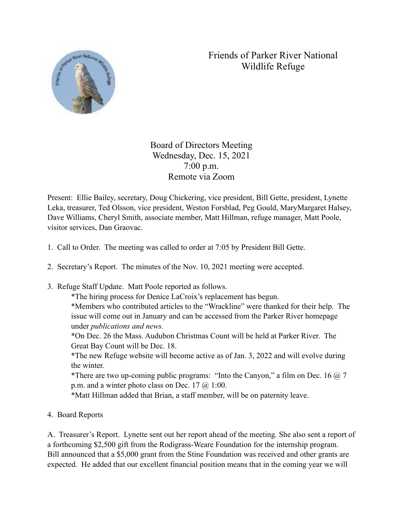## Friends of Parker River National Wildlife Refuge



Board of Directors Meeting Wednesday, Dec. 15, 2021 7:00 p.m. Remote via Zoom

Present: Ellie Bailey, secretary, Doug Chickering, vice president, Bill Gette, president, Lynette Leka, treasurer, Ted Olsson, vice president, Weston Forsblad, Peg Gould, MaryMargaret Halsey, Dave Williams, Cheryl Smith, associate member, Matt Hillman, refuge manager, Matt Poole, visitor services, Dan Graovac.

- 1. Call to Order. The meeting was called to order at 7:05 by President Bill Gette.
- 2. Secretary's Report. The minutes of the Nov. 10, 2021 meeting were accepted.
- 3. Refuge Staff Update. Matt Poole reported as follows.

\*The hiring process for Denice LaCroix's replacement has begun.

\*Members who contributed articles to the "Wrackline" were thanked for their help. The issue will come out in January and can be accessed from the Parker River homepage under *publications and news.*

\*On Dec. 26 the Mass. Audubon Christmas Count will be held at Parker River. The Great Bay Count will be Dec. 18.

\*The new Refuge website will become active as of Jan. 3, 2022 and will evolve during the winter.

\*There are two up-coming public programs: "Into the Canyon," a film on Dec. 16  $\omega$ , 7 p.m. and a winter photo class on Dec.  $17 \omega$  1:00.

\*Matt Hillman added that Brian, a staff member, will be on paternity leave.

4. Board Reports

A. Treasurer's Report. Lynette sent out her report ahead of the meeting. She also sent a report of a forthcoming \$2,500 gift from the Rodigrass-Weare Foundation for the internship program. Bill announced that a \$5,000 grant from the Stine Foundation was received and other grants are expected. He added that our excellent financial position means that in the coming year we will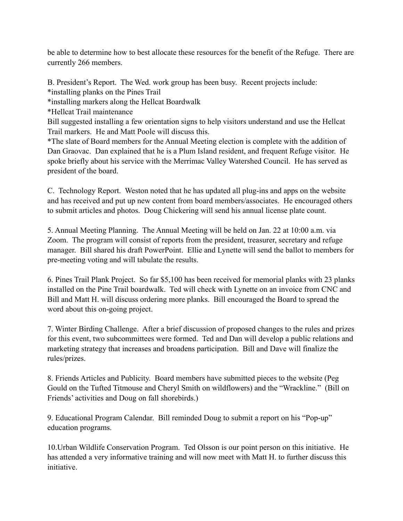be able to determine how to best allocate these resources for the benefit of the Refuge. There are currently 266 members.

B. President's Report. The Wed. work group has been busy. Recent projects include: \*installing planks on the Pines Trail \*installing markers along the Hellcat Boardwalk \*Hellcat Trail maintenance Bill suggested installing a few orientation signs to help visitors understand and use the Hellcat Trail markers. He and Matt Poole will discuss this. \*The slate of Board members for the Annual Meeting election is complete with the addition of Dan Graovac. Dan explained that he is a Plum Island resident, and frequent Refuge visitor. He spoke briefly about his service with the Merrimac Valley Watershed Council. He has served as

president of the board.

C. Technology Report. Weston noted that he has updated all plug-ins and apps on the website and has received and put up new content from board members/associates. He encouraged others to submit articles and photos. Doug Chickering will send his annual license plate count.

5. Annual Meeting Planning. The Annual Meeting will be held on Jan. 22 at 10:00 a.m. via Zoom. The program will consist of reports from the president, treasurer, secretary and refuge manager. Bill shared his draft PowerPoint. Ellie and Lynette will send the ballot to members for pre-meeting voting and will tabulate the results.

6. Pines Trail Plank Project. So far \$5,100 has been received for memorial planks with 23 planks installed on the Pine Trail boardwalk. Ted will check with Lynette on an invoice from CNC and Bill and Matt H. will discuss ordering more planks. Bill encouraged the Board to spread the word about this on-going project.

7. Winter Birding Challenge. After a brief discussion of proposed changes to the rules and prizes for this event, two subcommittees were formed. Ted and Dan will develop a public relations and marketing strategy that increases and broadens participation. Bill and Dave will finalize the rules/prizes.

8. Friends Articles and Publicity. Board members have submitted pieces to the website (Peg Gould on the Tufted Titmouse and Cheryl Smith on wildflowers) and the "Wrackline." (Bill on Friends' activities and Doug on fall shorebirds.)

9. Educational Program Calendar. Bill reminded Doug to submit a report on his "Pop-up" education programs.

10.Urban Wildlife Conservation Program. Ted Olsson is our point person on this initiative. He has attended a very informative training and will now meet with Matt H. to further discuss this initiative.